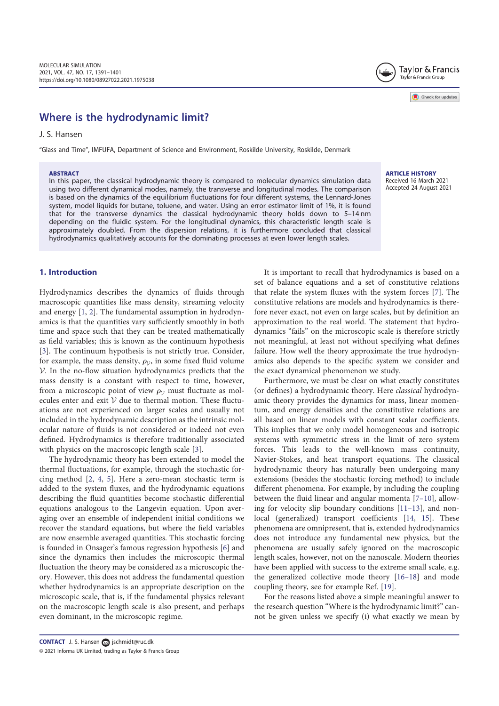# Where is the hydrodynamic limit?

J. S. Hansen

"Glass and Time", IMFUFA, Department of Science and Environment, Roskilde University, Roskilde, Denmark

#### **ABSTRACT**

In this paper, the classical hydrodynamic theory is compared to molecular dynamics simulation data using two different dynamical modes, namely, the transverse and longitudinal modes. The comparison is based on the dynamics of the equilibrium fluctuations for four different systems, the Lennard-Jones system, model liquids for butane, toluene, and water. Using an error estimator limit of 1%, it is found that for the transverse dynamics the classical hydrodynamic theory holds down to 5–14 nm depending on the fluidic system. For the longitudinal dynamics, this characteristic length scale is approximately doubled. From the dispersion relations, it is furthermore concluded that classical hydrodynamics qualitatively accounts for the dominating processes at even lower length scales.

# 1. Introduction

Hydrodynamics describes the dynamics of fluids through macroscopic quantities like mass density, streaming velocity and energy [1, 2]. The fundamental assumption in hydrodynamics is that the quantities vary sufficiently smoothly in both time and space such that they can be treated mathematically as field variables; this is known as the continuum hypothesis [3]. The continuum hypothesis is not strictly true. Consider, for example, the mass density,  $\rho_{\mathcal{V}}$ , in some fixed fluid volume <sup>V</sup>. In the no-flow situation hydrodynamics predicts that the mass density is a constant with respect to time, however, from a microscopic point of view  $\rho_V$  must fluctuate as molecules enter and exit  $V$  due to thermal motion. These fluctuations are not experienced on larger scales and usually not included in the hydrodynamic description as the intrinsic molecular nature of fluids is not considered or indeed not even defined. Hydrodynamics is therefore traditionally associated with physics on the macroscopic length scale [3].

The hydrodynamic theory has been extended to model the thermal fluctuations, for example, through the stochastic forcing method [2, 4, 5]. Here a zero-mean stochastic term is added to the system fluxes, and the hydrodynamic equations describing the fluid quantities become stochastic differential equations analogous to the Langevin equation. Upon averaging over an ensemble of independent initial conditions we recover the standard equations, but where the field variables are now ensemble averaged quantities. This stochastic forcing is founded in Onsager's famous regression hypothesis [6] and since the dynamics then includes the microscopic thermal fluctuation the theory may be considered as a microscopic theory. However, this does not address the fundamental question whether hydrodynamics is an appropriate description on the microscopic scale, that is, if the fundamental physics relevant on the macroscopic length scale is also present, and perhaps even dominant, in the microscopic regime.

It is important to recall that hydrodynamics is based on a set of balance equations and a set of constitutive relations that relate the system fluxes with the system forces [7]. The constitutive relations are models and hydrodynamics is therefore never exact, not even on large scales, but by definition an approximation to the real world. The statement that hydrodynamics "fails" on the microscopic scale is therefore strictly not meaningful, at least not without specifying what defines failure. How well the theory approximate the true hydrodynamics also depends to the specific system we consider and the exact dynamical phenomenon we study.

Furthermore, we must be clear on what exactly constitutes (or defines) a hydrodynamic theory. Here classical hydrodynamic theory provides the dynamics for mass, linear momentum, and energy densities and the constitutive relations are all based on linear models with constant scalar coefficients. This implies that we only model homogeneous and isotropic systems with symmetric stress in the limit of zero system forces. This leads to the well-known mass continuity, Navier-Stokes, and heat transport equations. The classical hydrodynamic theory has naturally been undergoing many extensions (besides the stochastic forcing method) to include different phenomena. For example, by including the coupling between the fluid linear and angular momenta [7–10], allowing for velocity slip boundary conditions [11–13], and nonlocal (generalized) transport coefficients [14, 15]. These phenomena are omnipresent, that is, extended hydrodynamics does not introduce any fundamental new physics, but the phenomena are usually safely ignored on the macroscopic length scales, however, not on the nanoscale. Modern theories have been applied with success to the extreme small scale, e.g. the generalized collective mode theory [16–18] and mode coupling theory, see for example Ref. [19].

For the reasons listed above a simple meaningful answer to the research question "Where is the hydrodynamic limit?" cannot be given unless we specify (i) what exactly we mean by





ARTICLE HISTORY Received 16 March 2021 Accepted 24 August 2021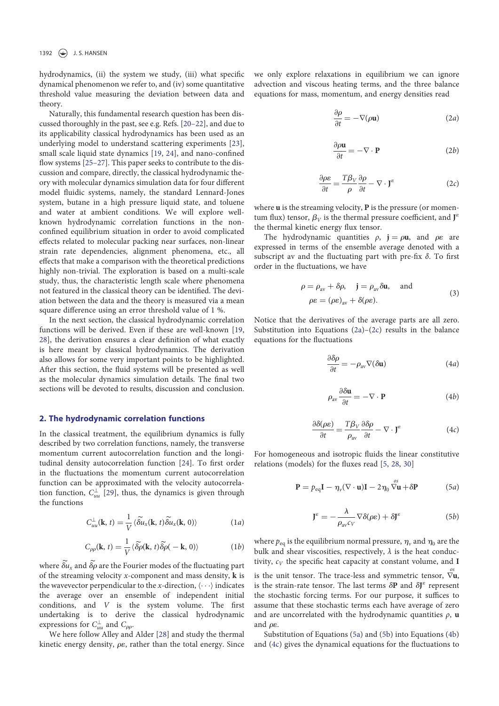hydrodynamics, (ii) the system we study, (iii) what specific dynamical phenomenon we refer to, and (iv) some quantitative threshold value measuring the deviation between data and theory.

Naturally, this fundamental research question has been discussed thoroughly in the past, see e.g. Refs. [20–22], and due to its applicability classical hydrodynamics has been used as an underlying model to understand scattering experiments [23], small scale liquid state dynamics [19, 24], and nano-confined flow systems [25–27]. This paper seeks to contribute to the discussion and compare, directly, the classical hydrodynamic theory with molecular dynamics simulation data for four different model fluidic systems, namely, the standard Lennard-Jones system, butane in a high pressure liquid state, and toluene and water at ambient conditions. We will explore wellknown hydrodynamic correlation functions in the nonconfined equilibrium situation in order to avoid complicated effects related to molecular packing near surfaces, non-linear strain rate dependencies, alignment phenomena, etc., all effects that make a comparison with the theoretical predictions highly non-trivial. The exploration is based on a multi-scale study, thus, the characteristic length scale where phenomena not featured in the classical theory can be identified. The deviation between the data and the theory is measured via a mean square difference using an error threshold value of 1 %.

In the next section, the classical hydrodynamic correlation functions will be derived. Even if these are well-known [19, 28], the derivation ensures a clear definition of what exactly is here meant by classical hydrodynamics. The derivation also allows for some very important points to be highlighted. After this section, the fluid systems will be presented as well as the molecular dynamics simulation details. The final two sections will be devoted to results, discussion and conclusion.

# 2. The hydrodynamic correlation functions

In the classical treatment, the equilibrium dynamics is fully described by two correlation functions, namely, the transverse momentum current autocorrelation function and the longitudinal density autocorrelation function [24]. To first order in the fluctuations the momentum current autocorrelation function can be approximated with the velocity autocorrelation function,  $C_{uu}^{\perp}$  [29], thus, the dynamics is given through the functions

$$
C_{uu}^{\perp}(\mathbf{k}, t) = \frac{1}{V} \langle \widetilde{\delta u}_x(\mathbf{k}, t) \widetilde{\delta u}_x(\mathbf{k}, 0) \rangle \tag{1a}
$$

$$
C_{\rho\rho}(\mathbf{k}, t) = \frac{1}{V} \langle \widetilde{\delta\rho}(\mathbf{k}, t) \widetilde{\delta\rho}(-\mathbf{k}, 0) \rangle \tag{1b}
$$

where  $\widetilde{\delta u}_x$  and  $\widetilde{\delta \rho}$  are the Fourier modes of the fluctuating part of the streaming velocity  $x$ -component and mass density,  $k$  is the wavevector perpendicular to the x-direction,  $\langle \cdots \rangle$  indicates the average over an ensemble of independent initial conditions, and V is the system volume. The first undertaking is to derive the classical hydrodynamic expressions for  $C_{uu}^{\perp}$  and  $C_{\rho\rho}$ .

We here follow Alley and Alder [28] and study the thermal kinetic energy density,  $\rho \varepsilon$ , rather than the total energy. Since we only explore relaxations in equilibrium we can ignore advection and viscous heating terms, and the three balance equations for mass, momentum, and energy densities read

$$
\frac{\partial \rho}{\partial t} = -\nabla(\rho \mathbf{u})\tag{2a}
$$

$$
\frac{\partial \rho \mathbf{u}}{\partial t} = -\nabla \cdot \mathbf{P}
$$
 (2b)

$$
\frac{\partial \rho \varepsilon}{\partial t} = \frac{T \beta_V}{\rho} \frac{\partial \rho}{\partial t} - \nabla \cdot \mathbf{J}^\varepsilon \tag{2c}
$$

where **u** is the streaming velocity, **P** is the pressure (or momentum flux) tensor,  $\beta_V$  is the thermal pressure coefficient, and  $J^e$ the thermal kinetic energy flux tensor.

The hydrodynamic quantities  $\rho$ ,  $\mathbf{i} = \rho \mathbf{u}$ , and  $\rho \varepsilon$  are expressed in terms of the ensemble average denoted with a subscript av and the fluctuating part with pre-fix δ. To first order in the fluctuations, we have

$$
\rho = \rho_{\text{av}} + \delta \rho, \quad \mathbf{j} = \rho_{\text{av}} \delta \mathbf{u}, \quad \text{and}
$$
  

$$
\rho \varepsilon = (\rho \varepsilon)_{\text{av}} + \delta(\rho \varepsilon).
$$
 (3)

Notice that the derivatives of the average parts are all zero. Substitution into Equations  $(2a)-(2c)$  results in the balance equations for the fluctuations

$$
\frac{\partial \delta \rho}{\partial t} = -\rho_{\text{av}} \nabla(\delta \mathbf{u}) \tag{4a}
$$

$$
\rho_{\rm av} \frac{\partial \delta \mathbf{u}}{\partial t} = -\nabla \cdot \mathbf{P}
$$
 (4b)

$$
\frac{\partial \delta(\rho \varepsilon)}{\partial t} = \frac{T \beta_V}{\rho_{\text{av}}} \frac{\partial \delta \rho}{\partial t} - \nabla \cdot \mathbf{J}^{\varepsilon}
$$
(4c)

For homogeneous and isotropic fluids the linear constitutive relations (models) for the fluxes read [5, 28, 30]

$$
\mathbf{P} = p_{\text{eq}}\mathbf{I} - \eta_{\nu}(\nabla \cdot \mathbf{u})\mathbf{I} - 2\eta_{0} \stackrel{\partial S}{\nabla \mathbf{u}} + \delta \mathbf{P}
$$
 (5*a*)

$$
\mathbf{J}^{\varepsilon} = -\frac{\lambda}{\rho_{\text{av}}c_V} \nabla \delta(\rho \varepsilon) + \delta \mathbf{J}^{\varepsilon} \tag{5b}
$$

where  $p_{eq}$  is the equilibrium normal pressure,  $\eta_{\nu}$  and  $\eta_0$  are the bulk and shear viscosities, respectively,  $\lambda$  is the heat conductivity,  $c_V$  the specific heat capacity at constant volume, and I

is the unit tensor. The trace-less and symmetric tensor,  $\stackrel{o s}{\nabla}$ **u**, is the strain-rate tensor. The last terms  $\delta P$  and  $\delta J^{\varepsilon}$  represent the stochastic forcing terms. For our purpose, it suffices to assume that these stochastic terms each have average of zero and are uncorrelated with the hydrodynamic quantities  $\rho$ , u and  $\rho \varepsilon$ .

Substitution of Equations (5a) and (5b) into Equations (4b) and (4c) gives the dynamical equations for the fluctuations to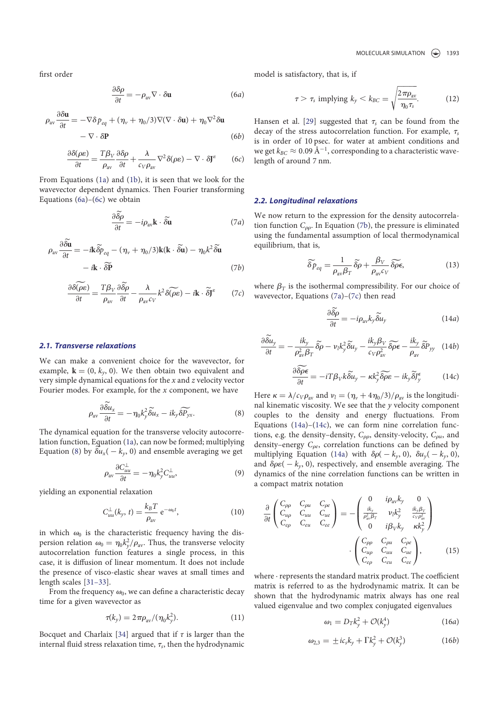first order

$$
\frac{\partial \delta \rho}{\partial t} = -\rho_{\text{av}} \nabla \cdot \delta \mathbf{u}
$$
 (6*a*)

$$
\rho_{\text{av}} \frac{\partial \delta \mathbf{u}}{\partial t} = -\nabla \delta p_{eq} + (\eta_v + \eta_0/3) \nabla (\nabla \cdot \delta \mathbf{u}) + \eta_0 \nabla^2 \delta \mathbf{u}
$$

$$
- \nabla \cdot \delta \mathbf{P}
$$
(6b)

$$
\frac{\partial \delta(\rho \varepsilon)}{\partial t} = \frac{T \beta_V}{\rho_{\text{av}}} \frac{\partial \delta \rho}{\partial t} + \frac{\lambda}{c_V \rho_{\text{av}}} \nabla^2 \delta(\rho \varepsilon) - \nabla \cdot \delta J^{\varepsilon} \tag{6c}
$$

From Equations (1a) and (1b), it is seen that we look for the wavevector dependent dynamics. Then Fourier transforming Equations  $(6a)$ – $(6c)$  we obtain

$$
\frac{\partial \delta \rho}{\partial t} = -i \rho_{\text{av}} \mathbf{k} \cdot \delta \mathbf{\tilde{u}} \tag{7a}
$$

$$
\rho_{\text{av}} \frac{\partial \delta \mathbf{u}}{\partial t} = -i\mathbf{k} \widetilde{\delta \rho}_{eq} - (\eta_{\nu} + \eta_0/3)\mathbf{k}(\mathbf{k} \cdot \widetilde{\delta \mathbf{u}}) - \eta_0 k^2 \widetilde{\delta \mathbf{u}}
$$

$$
-i\mathbf{k} \cdot \widetilde{\delta \mathbf{P}} \tag{7b}
$$

$$
\frac{\partial \delta(\rho \varepsilon)}{\partial t} = \frac{T \beta_V}{\rho_{\text{av}}} \frac{\partial \widetilde{\delta \rho}}{\partial t} - \frac{\lambda}{\rho_{\text{av}} c_V} k^2 \delta(\widetilde{\rho \varepsilon}) - i\mathbf{k} \cdot \widetilde{\delta} \mathbf{J}^{\varepsilon} \tag{7c}
$$

## 2.1. Transverse relaxations

We can make a convenient choice for the wavevector, for example,  $\mathbf{k} = (0, k_y, 0)$ . We then obtain two equivalent and very simple dynamical equations for the  $x$  and  $z$  velocity vector Fourier modes. For example, for the  $x$  component, we have

$$
\rho_{\rm av} \frac{\partial \widetilde{\delta u}_x}{\partial t} = -\eta_0 k_y^2 \widetilde{\delta u}_x - ik_y \widetilde{\delta P_{yx}}.
$$
\n(8)

The dynamical equation for the transverse velocity autocorrelation function, Equation (1a), can now be formed; multiplying Equation (8) by  $\delta u_x(-k_y, 0)$  and ensemble averaging we get

$$
\rho_{\rm av} \frac{\partial C_{uu}^{\perp}}{\partial t} = -\eta_0 k_y^2 C_{uu}^{\perp},\tag{9}
$$

yielding an exponential relaxation

$$
C_{uu}^{\perp}(k_y, t) = \frac{k_B T}{\rho_{\text{av}}} e^{-\omega_0 t}, \qquad (10)
$$

in which  $\omega_0$  is the characteristic frequency having the dispersion relation  $\omega_0 = \eta_0 k_y^2 / \rho_{\text{av}}$ . Thus, the transverse velocity autocorrelation function features a single process, in this case, it is diffusion of linear momentum. It does not include the presence of visco-elastic shear waves at small times and length scales [31–33].

From the frequency  $\omega_0$ , we can define a characteristic decay time for a given wavevector as

$$
\tau(k_y) = 2\pi \rho_{\text{av}} / (\eta_0 k_y^2). \tag{11}
$$

Bocquet and Charlaix [34] argued that if  $\tau$  is larger than the internal fluid stress relaxation time,  $\tau_s$ , then the hydrodynamic model is satisfactory, that is, if

$$
\tau > \tau_s \text{ implying } k_y < k_{BC} = \sqrt{\frac{2\pi\rho_{\text{av}}}{\eta_0 \tau_s}}.
$$
 (12)

Hansen et al. [29] suggested that  $\tau_s$  can be found from the decay of the stress autocorrelation function. For example,  $\tau_s$ is in order of 10 psec. for water at ambient conditions and we get  $k_{BC} \approx 0.09 \text{ Å}^{-1}$ , corresponding to a characteristic wavelength of around 7 nm.

## 2.2. Longitudinal relaxations

We now return to the expression for the density autocorrelation function  $C_{\rho\rho}$ . In Equation (7b), the pressure is eliminated using the fundamental assumption of local thermodynamical equilibrium, that is,

$$
\widetilde{\delta p}_{eq} = \frac{1}{\rho_{\text{av}} \beta_T} \widetilde{\delta \rho} + \frac{\beta_V}{\rho_{\text{av}} c_V} \widetilde{\delta \rho \epsilon},\tag{13}
$$

where  $\beta_T$  is the isothermal compressibility. For our choice of wavevector, Equations (7a)–(7c) then read

$$
\frac{\partial \tilde{\delta \rho}}{\partial t} = -i \rho_{\rm av} k_y \tilde{\delta u}_y \tag{14a}
$$

$$
\frac{\partial \widetilde{\delta u}_y}{\partial t} = -\frac{i k_y}{\rho_{\text{av}}^2 \beta_T} \widetilde{\delta \rho} - \nu_l k_y^2 \widetilde{\delta u}_y - \frac{i k_y \beta_V}{c_V \rho_{\text{av}}^2} \widetilde{\delta \rho} \widetilde{\epsilon} - \frac{i k_y}{\rho_{\text{av}}} \widetilde{\delta P}_{yy} \quad (14b)
$$

$$
\frac{\partial \widetilde{\delta \rho \epsilon}}{\partial t} = -i T \beta_V k \widetilde{\delta u}_y - \kappa k_y^2 \widetilde{\delta \rho \epsilon} - ik_y \widetilde{\delta J}_y^{\epsilon} \tag{14c}
$$

Here  $\kappa = \lambda/c_V\rho_{av}$  and  $v_l = (\eta_v + 4\eta_0/3)/\rho_{av}$  is the longitudinal kinematic viscosity. We see that the  $y$  velocity component couples to the density and energy fluctuations. From Equations  $(14a)$ – $(14c)$ , we can form nine correlation functions, e.g. the density-density,  $C_{\rho\rho}$ , density-velocity,  $C_{\rho u}$ , and density–energy  $C_{\rho e}$ , correlation functions can be defined by multiplying Equation (14a) with  $\delta \rho(-k_y, 0)$ ,  $\delta u_y(-k_y, 0)$ , and  $\delta \rho \varepsilon( - k_y, 0)$ , respectively, and ensemble averaging. The dynamics of the nine correlation functions can be written in a compact matrix notation

$$
\frac{\partial}{\partial t} \begin{pmatrix} C_{\rho\rho} & C_{\rho u} & C_{\rho e} \\ C_{u\rho} & C_{uu} & C_{ue} \\ C_{e\rho} & C_{eu} & C_{ee} \end{pmatrix} = - \begin{pmatrix} 0 & i\rho_{\text{av}}k_y & 0 \\ \frac{ik_y}{\rho_{\text{av}}^2\beta_T} & \nu_l k_y^2 & \frac{ik_y\beta_V}{c_V\rho_{\text{av}}^2} \\ 0 & i\rho_V k_y & \kappa k_y^2 \end{pmatrix}
$$
\n
$$
\cdot \begin{pmatrix} C_{\rho\rho} & C_{\rho u} & C_{\rho e} \\ C_{u\rho} & C_{uu} & C_{ue} \\ C_{e\rho} & C_{eu} & C_{ee} \end{pmatrix}, \tag{15}
$$

where · represents the standard matrix product. The coefficient matrix is referred to as the hydrodynamic matrix. It can be shown that the hydrodynamic matrix always has one real valued eigenvalue and two complex conjugated eigenvalues

$$
\omega_1 = D_T k_y^2 + \mathcal{O}(k_y^4) \tag{16a}
$$

$$
\omega_{2,3} = \pm i c_s k_y + \Gamma k_y^2 + \mathcal{O}(k_y^3) \tag{16b}
$$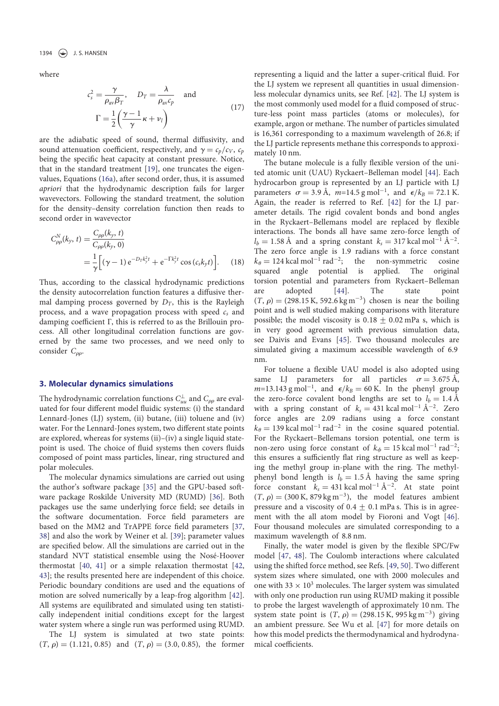where

$$
c_s^2 = \frac{\gamma}{\rho_{\text{av}} \beta_T}, \quad D_T = \frac{\lambda}{\rho_{\text{av}} c_p} \quad \text{and}
$$

$$
\Gamma = \frac{1}{2} \left( \frac{\gamma - 1}{\gamma} \kappa + \nu_l \right)
$$
(17)

are the adiabatic speed of sound, thermal diffusivity, and sound attenuation coefficient, respectively, and  $\gamma = c_p/c_V$ ,  $c_p$ being the specific heat capacity at constant pressure. Notice, that in the standard treatment [19], one truncates the eigenvalues, Equations (16a), after second order, thus, it is assumed apriori that the hydrodynamic description fails for larger wavevectors. Following the standard treatment, the solution for the density–density correlation function then reads to second order in wavevector

$$
C_{\rho\rho}^{N}(k_{y}, t) = \frac{C_{\rho\rho}(k_{y}, t)}{C_{\rho\rho}(k_{y}, 0)}
$$
  
=  $\frac{1}{\gamma} \Big[ (\gamma - 1) e^{-D_{T}k_{y}^{2}t} + e^{-\Gamma k_{y}^{2}t} \cos(c_{s}k_{y}t) \Big].$  (18)

Thus, according to the classical hydrodynamic predictions the density autocorrelation function features a diffusive thermal damping process governed by  $D_T$ , this is the Rayleigh process, and a wave propagation process with speed  $c_s$  and damping coefficient Γ, this is referred to as the Brillouin process. All other longitudinal correlation functions are governed by the same two processes, and we need only to consider  $C_{\rho\rho}$ .

## 3. Molecular dynamics simulations

The hydrodynamic correlation functions  $C_{uu}^\perp$  and  $C_{\rho\rho}$  are evaluated for four different model fluidic systems: (i) the standard Lennard-Jones (LJ) system, (ii) butane, (iii) toluene and (iv) water. For the Lennard-Jones system, two different state points are explored, whereas for systems (ii)–(iv) a single liquid statepoint is used. The choice of fluid systems then covers fluids composed of point mass particles, linear, ring structured and polar molecules.

The molecular dynamics simulations are carried out using the author's software package [35] and the GPU-based software package Roskilde University MD (RUMD) [36]. Both packages use the same underlying force field; see details in the software documentation. Force field parameters are based on the MM2 and TrAPPE force field parameters [37, 38] and also the work by Weiner et al. [39]; parameter values are specified below. All the simulations are carried out in the standard NVT statistical ensemble using the Nosé-Hoover thermostat [40, 41] or a simple relaxation thermostat [42, 43]; the results presented here are independent of this choice. Periodic boundary conditions are used and the equations of motion are solved numerically by a leap-frog algorithm [42]. All systems are equilibrated and simulated using ten statistically independent initial conditions except for the largest water system where a single run was performed using RUMD.

The LJ system is simulated at two state points:  $(T, \rho) = (1.121, 0.85)$  and  $(T, \rho) = (3.0, 0.85)$ , the former representing a liquid and the latter a super-critical fluid. For the LJ system we represent all quantities in usual dimensionless molecular dynamics units, see Ref. [42]. The LJ system is the most commonly used model for a fluid composed of structure-less point mass particles (atoms or molecules), for example, argon or methane. The number of particles simulated is 16,361 corresponding to a maximum wavelength of 26.8; if the LJ particle represents methane this corresponds to approximately 10 nm.

The butane molecule is a fully flexible version of the united atomic unit (UAU) Ryckaert–Belleman model [44]. Each hydrocarbon group is represented by an LJ particle with LJ parameters  $\sigma = 3.9 \text{ Å}, m=14.5 \text{ g mol}^{-1}, \text{ and } \epsilon/k_B = 72.1 \text{ K}.$ Again, the reader is referred to Ref. [42] for the LJ parameter details. The rigid covalent bonds and bond angles in the Ryckaert–Bellemans model are replaced by flexible interactions. The bonds all have same zero-force length of  $l_b = 1.58 \text{ Å}$  and a spring constant  $k_s = 317 \text{ kcal mol}^{-1} \text{ Å}^{-2}$ . The zero force angle is 1.9 radians with a force constant  $k_{\theta} = 124 \text{ kcal mol}^{-1} \text{ rad}^{-2}$ ; the non-symmetric cosine squared angle potential is applied. The original squared angle potential is applied. torsion potential and parameters from Ryckaert–Belleman are adopted [44]. The state point  $(T, \rho) = (298.15 \text{ K}, 592.6 \text{ kg m}^{-3})$  chosen is near the boiling point and is well studied making comparisons with literature possible; the model viscosity is  $0.18 + 0.02$  mPa s, which is in very good agreement with previous simulation data, see Daivis and Evans [45]. Two thousand molecules are simulated giving a maximum accessible wavelength of 6.9 nm.

For toluene a flexible UAU model is also adopted using same LJ parameters for all particles  $\sigma = 3.675 \text{ Å}$ , m=13.143 g mol<sup>-1</sup>, and  $\epsilon/k_B = 60$  K. In the phenyl group the zero-force covalent bond lengths are set to  $l_b = 1.4 \text{ Å}$ with a spring constant of  $k<sub>s</sub> = 431$  kcal mol<sup>-1</sup> Å<sup>-2</sup>. Zero force angles are 2.09 radians using a force constant  $k_{\theta} = 139 \text{ kcal mol}^{-1} \text{ rad}^{-2}$  in the cosine squared potential. For the Ryckaert–Bellemans torsion potential, one term is non-zero using force constant of  $k_{\phi} = 15$  kcal mol<sup>-1</sup> rad<sup>-2</sup>; this ensures a sufficiently flat ring structure as well as keeping the methyl group in-plane with the ring. The methylphenyl bond length is  $l_b = 1.5 \text{ Å}$  having the same spring force constant  $k_s = 431$  kcal mol<sup>-1</sup> Å<sup>-2</sup>. At state point  $(T, \rho) = (300 \text{ K}, 879 \text{ kg m}^{-3})$ , the model features ambient pressure and a viscosity of  $0.4 \pm 0.1$  mPa s. This is in agreement with the all atom model by Fioroni and Vogt [46]. Four thousand molecules are simulated corresponding to a maximum wavelength of 8.8 nm.

Finally, the water model is given by the flexible SPC/Fw model [47, 48]. The Coulomb interactions where calculated using the shifted force method, see Refs. [49, 50]. Two different system sizes where simulated, one with 2000 molecules and one with 33  $\times$  10<sup>3</sup> molecules. The larger system was simulated with only one production run using RUMD making it possible to probe the largest wavelength of approximately 10 nm. The system state point is  $(T, \rho) = (298.15 \text{ K}, 995 \text{ kg m}^{-3})$  giving an ambient pressure. See Wu et al. [47] for more details on how this model predicts the thermodynamical and hydrodynamical coefficients.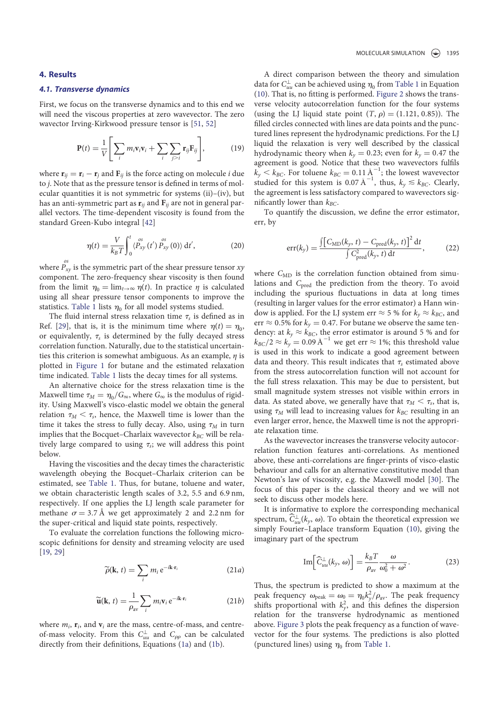#### 4. Results

# 4.1. Transverse dynamics

First, we focus on the transverse dynamics and to this end we will need the viscous properties at zero wavevector. The zero wavector Irving-Kirkwood pressure tensor is [51, 52]

$$
\mathbf{P}(t) = \frac{1}{V} \Bigg[ \sum_{i} m_{i} \mathbf{v}_{i} \mathbf{v}_{i} + \sum_{i} \sum_{j>i} \mathbf{r}_{ij} \mathbf{F}_{ij} \Bigg], \qquad (19)
$$

where  $\mathbf{r}_{ij} = \mathbf{r}_i - \mathbf{r}_j$  and  $\mathbf{F}_{ij}$  is the force acting on molecule *i* due to j. Note that as the pressure tensor is defined in terms of molecular quantities it is not symmetric for systems (ii)–(iv), but has an anti-symmetric part as  $\mathbf{r}_{ij}$  and  $\mathbf{F}_{ij}$  are not in general parallel vectors. The time-dependent viscosity is found from the standard Green-Kubo integral [42]

$$
\eta(t) = \frac{V}{k_B T} \int_0^t \langle P_{xy}^{os}(t') P_{xy}^{os}(0) \rangle dt', \qquad (20)
$$

where  $P_{xy}^{\circ s}$  is the symmetric part of the shear pressure tensor  $xy$ component. The zero-frequency shear viscosity is then found from the limit  $\eta_0 = \lim_{t\to\infty} \eta(t)$ . In practice  $\eta$  is calculated using all shear pressure tensor components to improve the statistics. Table 1 lists  $\eta_0$  for all model systems studied.

The fluid internal stress relaxation time  $\tau_s$  is defined as in Ref. [29], that is, it is the minimum time where  $\eta(t) = \eta_0$ , or equivalently,  $\tau_s$  is determined by the fully decayed stress correlation function. Naturally, due to the statistical uncertainties this criterion is somewhat ambiguous. As an example,  $\eta$  is plotted in Figure 1 for butane and the estimated relaxation time indicated. Table 1 lists the decay times for all systems.

An alternative choice for the stress relaxation time is the Maxwell time  $\tau_M = \eta_0/G_\infty$ , where  $G_\infty$  is the modulus of rigidity. Using Maxwell's visco-elastic model we obtain the general relation  $\tau_M < \tau_s$ , hence, the Maxwell time is lower than the time it takes the stress to fully decay. Also, using  $\tau_M$  in turn implies that the Bocquet–Charlaix wavevector  $k_{BC}$  will be relatively large compared to using  $\tau_s$ ; we will address this point below.

Having the viscosities and the decay times the characteristic wavelength obeying the Bocquet–Charlaix criterion can be estimated, see Table 1. Thus, for butane, toluene and water, we obtain characteristic length scales of 3.2, 5.5 and 6.9 nm, respectively. If one applies the LJ length scale parameter for methane  $\sigma = 3.7 \text{ Å}$  we get approximately 2 and 2.2 nm for the super-critical and liquid state points, respectively.

To evaluate the correlation functions the following microscopic definitions for density and streaming velocity are used [19, 29]

$$
\widetilde{\rho}(\mathbf{k}, t) = \sum_{i} m_i e^{-i\mathbf{k} \cdot \mathbf{r}_i}
$$
 (21*a*)

$$
\widetilde{\mathbf{u}}(\mathbf{k}, t) = \frac{1}{\rho_{\text{av}}} \sum_{i} m_{i} \mathbf{v}_{i} e^{-i\mathbf{k} \cdot \mathbf{r}_{i}}
$$
 (21*b*)

where  $m_i$ ,  $\mathbf{r}_i$ , and  $\mathbf{v}_i$  are the mass, centre-of-mass, and centreof-mass velocity. From this  $C_{uu}^{\perp}$  and  $C_{\rho\rho}$  can be calculated directly from their definitions, Equations (1a) and (1b).

A direct comparison between the theory and simulation data for  $C_{uu}^{\perp}$  can be achieved using  $\eta_0$  from Table 1 in Equation (10). That is, no fitting is performed. Figure 2 shows the transverse velocity autocorrelation function for the four systems (using the LJ liquid state point  $(T, \rho) = (1.121, 0.85)$ ). The filled circles connected with lines are data points and the punctured lines represent the hydrodynamic predictions. For the LJ liquid the relaxation is very well described by the classical hydrodynamic theory when  $k_y = 0.23$ ; even for  $k_y = 0.47$  the agreement is good. Notice that these two wavevectors fulfils  $k_y < k_{BC}$ . For toluene  $k_{BC} = 0.11 \text{ \AA}^{-1}$ ; the lowest wavevector studied for this system is 0.07 Å<sup>-1</sup>, thus,  $k_y \lesssim k_{BC}$ . Clearly, the agreement is less satisfactory compared to wavevectors significantly lower than  $k_{BC}$ .

To quantify the discussion, we define the error estimator, err, by

$$
err(k_y) = \frac{\int \left[C_{\rm MD}(k_y, t) - C_{\rm pred}(k_y, t)\right]^2 dt}{\int C_{\rm pred}^2(k_y, t) dt},
$$
 (22)

where  $C_{MD}$  is the correlation function obtained from simulations and C<sub>pred</sub> the prediction from the theory. To avoid including the spurious fluctuations in data at long times (resulting in larger values for the error estimator) a Hann window is applied. For the LJ system err  $\approx$  5 % for  $k_y \approx k_{BC}$ , and err  $\approx$  0.5% for  $k_y = 0.47$ . For butane we observe the same tendency: at  $k_y \approx k_{BC}$ , the error estimator is around 5 % and for  $k_{BC}/2 \approx k_y = 0.09 \,\text{\AA}^{-1}$  we get err  $\approx$  1%; this threshold value is used in this work to indicate a good agreement between data and theory. This result indicates that  $\tau_s$  estimated above from the stress autocorrelation function will not account for the full stress relaxation. This may be due to persistent, but small magnitude system stresses not visible within errors in data. As stated above, we generally have that  $\tau_M < \tau_s$ , that is, using  $\tau_M$  will lead to increasing values for  $k_{BC}$  resulting in an even larger error, hence, the Maxwell time is not the appropriate relaxation time.

As the wavevector increases the transverse velocity autocorrelation function features anti-correlations. As mentioned above, these anti-correlations are finger-prints of visco-elastic behaviour and calls for an alternative constitutive model than Newton's law of viscosity, e.g. the Maxwell model [30]. The focus of this paper is the classical theory and we will not seek to discuss other models here.

It is informative to explore the corresponding mechanical spectrum,  $C_{uu}^{\perp}(k_y, \omega)$ . To obtain the theoretical expression we simply Fourier–Laplace transform Equation (10), giving the imaginary part of the spectrum

$$
\mathrm{Im}\Big[\widehat{C}_{uu}^{\perp}(k_{y},\,\omega)\Big]=\frac{k_{B}T}{\rho_{\mathrm{av}}}\frac{\omega}{\omega_{0}^{2}+\omega^{2}}.\tag{23}
$$

Thus, the spectrum is predicted to show a maximum at the peak frequency  $\omega_{\text{peak}} = \omega_0 = \eta_0 k_y^2 / \rho_{\text{av}}$ . The peak frequency shifts proportional with  $k_y^2$ , and this defines the dispersion relation for the transverse hydrodynamic as mentioned above. Figure 3 plots the peak frequency as a function of wavevector for the four systems. The predictions is also plotted (punctured lines) using  $\eta_0$  from Table 1.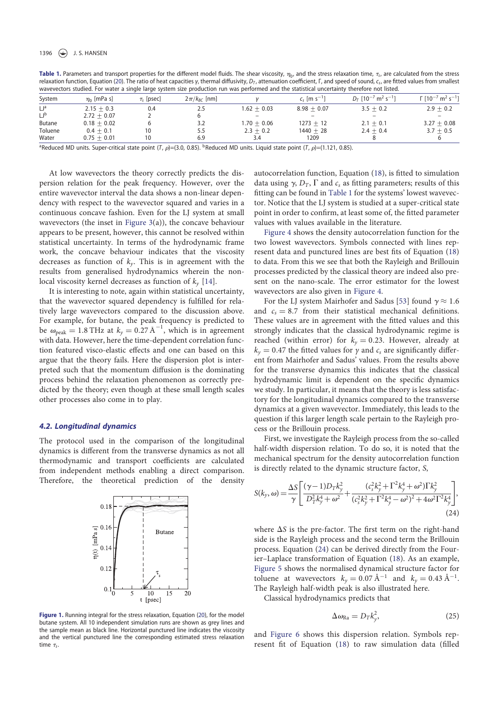#### 1396  $\left(\bigcircledast\right)$  J.S. HANSEN

Table 1. Parameters and transport properties for the different model fluids. The shear viscosity,  $\eta_0$ , and the stress relaxation time,  $\tau_s$ , are calculated from the stress relaxation function, Equation (20). The ratio of heat capacities γ, thermal diffusivity,  $D<sub>T</sub>$ , attenuation coefficient, Γ, and speed of sound,  $c<sub>s</sub>$ , are fitted values from smallest wavevectors studied. For water a single large system size production run was performed and the statistical uncertainty therefore not listed.

| System      | $\eta_0$ [mPa s] | $\tau_{s}$ [psec] | $2\pi/k_{BC}$ [nm] |               | $c_s$ [m s <sup>-1</sup> ] | $D_T$ [10 <sup>-7</sup> m <sup>2</sup> s <sup>-1</sup> ] | $\Gamma$ [10 <sup>-7</sup> m <sup>2</sup> s <sup>-1</sup> ] |
|-------------|------------------|-------------------|--------------------|---------------|----------------------------|----------------------------------------------------------|-------------------------------------------------------------|
| $L^{a}$     | $2.15 + 0.3$     | 0.4               | 2.5                | $1.62 + 0.03$ | $8.98 + 0.07$              | $3.5 + 0.2$                                              | $2.9 + 0.2$                                                 |
| $L_{\rm p}$ | $2.72 + 0.07$    |                   |                    |               |                            | $\overline{\phantom{0}}$                                 |                                                             |
| Butane      | $0.18 + 0.02$    |                   | 3.2                | $1.70 + 0.06$ | $1273 + 12$                | $2.1 + 0.1$                                              | $3.27 + 0.08$                                               |
| Toluene     | $0.4 + 0.1$      |                   | 5.5                | $2.3 + 0.2$   | $1440 + 28$                | $2.4 + 0.4$                                              | $3.7 + 0.5$                                                 |
| Water       | $0.75 + 0.01$    | 10                | 6.9                | 3.4           | 1209                       |                                                          |                                                             |

<sup>a</sup>Reduced MD units. Super-critical state point (T,  $\rho$ )=(3.0, 0.85). <sup>b</sup>Reduced MD units. Liquid state point (T,  $\rho$ )=(1.121, 0.85).

At low wavevectors the theory correctly predicts the dispersion relation for the peak frequency. However, over the entire wavevector interval the data shows a non-linear dependency with respect to the wavevector squared and varies in a continuous concave fashion. Even for the LJ system at small wavevectors (the inset in Figure 3(a)), the concave behaviour appears to be present, however, this cannot be resolved within statistical uncertainty. In terms of the hydrodynamic frame work, the concave behaviour indicates that the viscosity decreases as function of  $k_v$ . This is in agreement with the results from generalised hydrodynamics wherein the nonlocal viscosity kernel decreases as function of  $k_v$  [14].

It is interesting to note, again within statistical uncertainty, that the wavevector squared dependency is fulfilled for relatively large wavevectors compared to the discussion above. For example, for butane, the peak frequency is predicted to be  $\omega_{\text{peak}} = 1.8 \text{ THz}$  at  $k_y = 0.27 \text{ Å}^{-1}$ , which is in agreement with data. However, here the time-dependent correlation function featured visco-elastic effects and one can based on this argue that the theory fails. Here the dispersion plot is interpreted such that the momentum diffusion is the dominating process behind the relaxation phenomenon as correctly predicted by the theory; even though at these small length scales other processes also come in to play.

#### 4.2. Longitudinal dynamics

The protocol used in the comparison of the longitudinal dynamics is different from the transverse dynamics as not all thermodynamic and transport coefficients are calculated from independent methods enabling a direct comparison. Therefore, the theoretical prediction of the density



Figure 1. Running integral for the stress relaxation, Equation (20), for the model butane system. All 10 independent simulation runs are shown as grey lines and the sample mean as black line. Horizontal punctured line indicates the viscosity and the vertical punctured line the corresponding estimated stress relaxation time  $\tau_s$ .

autocorrelation function, Equation (18), is fitted to simulation data using  $\gamma$ ,  $D_T$ ,  $\Gamma$  and  $c_s$  as fitting parameters; results of this fitting can be found in Table 1 for the systems' lowest wavevector. Notice that the LJ system is studied at a super-critical state point in order to confirm, at least some of, the fitted parameter values with values available in the literature.

Figure 4 shows the density autocorrelation function for the two lowest wavevectors. Symbols connected with lines represent data and punctured lines are best fits of Equation (18) to data. From this we see that both the Rayleigh and Brillouin processes predicted by the classical theory are indeed also present on the nano-scale. The error estimator for the lowest wavevectors are also given in Figure 4.

For the LJ system Mairhofer and Sadus [53] found  $\gamma \approx 1.6$ and  $c_s = 8.7$  from their statistical mechanical definitions. These values are in agreement with the fitted values and this strongly indicates that the classical hydrodynamic regime is reached (within error) for  $k_y = 0.23$ . However, already at  $k_y = 0.47$  the fitted values for y and  $c_s$  are significantly different from Mairhofer and Sadus' values. From the results above for the transverse dynamics this indicates that the classical hydrodynamic limit is dependent on the specific dynamics we study. In particular, it means that the theory is less satisfactory for the longitudinal dynamics compared to the transverse dynamics at a given wavevector. Immediately, this leads to the question if this larger length scale pertain to the Rayleigh process or the Brillouin process.

First, we investigate the Rayleigh process from the so-called half-width dispersion relation. To do so, it is noted that the mechanical spectrum for the density autocorrelation function is directly related to the dynamic structure factor, S,

$$
S(k_y, \omega) = \frac{\Delta S}{\gamma} \left[ \frac{(\gamma - 1)D_T k_y^2}{D_T^2 k_y^4 + \omega^2} + \frac{(c_s^2 k_y^2 + \Gamma^2 k_y^4 + \omega^2) \Gamma k_y^2}{(c_s^2 k_y^2 + \Gamma^2 k_y^4 - \omega^2)^2 + 4\omega^2 \Gamma^2 k_y^4} \right],
$$
\n(24)

where  $\Delta S$  is the pre-factor. The first term on the right-hand side is the Rayleigh process and the second term the Brillouin process. Equation (24) can be derived directly from the Fourier–Laplace transformation of Equation (18). As an example, Figure 5 shows the normalised dynamical structure factor for toluene at wavevectors  $k_y = 0.07 \text{ Å}^{-1}$  and  $k_y = 0.43 \text{ Å}^{-1}$ . The Rayleigh half-width peak is also illustrated here.

Classical hydrodynamics predicts that

$$
\Delta \omega_{\text{Ra}} = D_T k_y^2,\tag{25}
$$

and Figure 6 shows this dispersion relation. Symbols represent fit of Equation (18) to raw simulation data (filled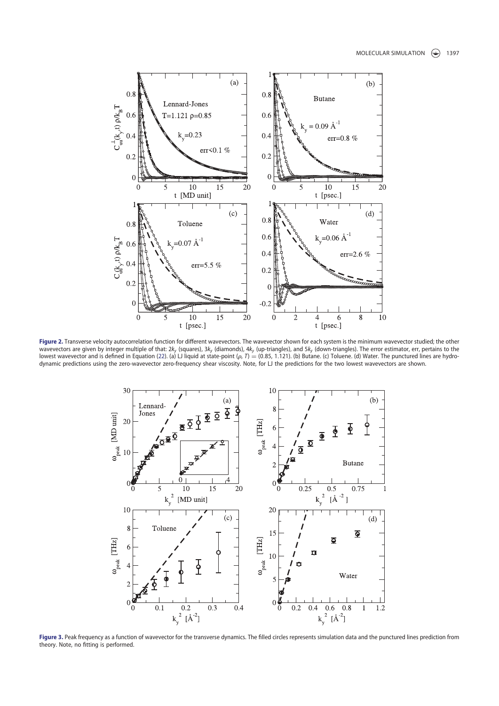

Figure 2. Transverse velocity autocorrelation function for different wavevectors. The wavevector shown for each system is the minimum wavevector studied; the other wavevectors are given by integer multiple of that: 2k<sub>y</sub> (squares), 3k<sub>y</sub> (diamonds), 4k<sub>y</sub> (up-triangles), and 5k<sub>y</sub> (down-triangles). The error estimator, err, pertains to the lowest wavevector and is defined in Equatio dynamic predictions using the zero-wavevector zero-frequency shear viscosity. Note, for LJ the predictions for the two lowest wavevectors are shown.



Figure 3. Peak frequency as a function of wavevector for the transverse dynamics. The filled circles represents simulation data and the punctured lines prediction from theory. Note, no fitting is performed.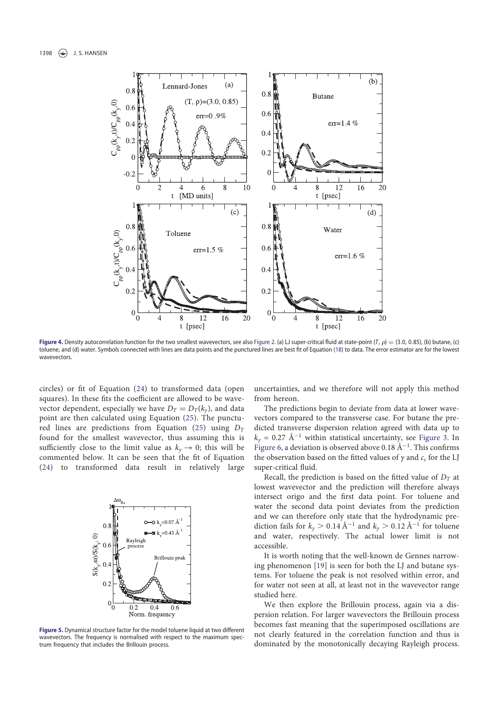

Figure 4. Density autocorrelation function for the two smallest wavevectors, see also Figure 2. (a) LJ super-critical fluid at state-point (T,  $\rho$ ) = (3.0, 0.85), (b) butane, (c) toluene, and (d) water. Symbols connected with lines are data points and the punctured lines are best fit of Equation (18) to data. The error estimator are for the lowest wavevectors

circles) or fit of Equation (24) to transformed data (open squares). In these fits the coefficient are allowed to be wavevector dependent, especially we have  $D_T = D_T(k_y)$ , and data point are then calculated using Equation (25). The punctured lines are predictions from Equation (25) using  $D<sub>T</sub>$ found for the smallest wavevector, thus assuming this is sufficiently close to the limit value as  $k_y \rightarrow 0$ ; this will be commented below. It can be seen that the fit of Equation (24) to transformed data result in relatively large



Figure 5. Dynamical structure factor for the model toluene liquid at two different wavevectors. The frequency is normalised with respect to the maximum spectrum frequency that includes the Brillouin process.

uncertainties, and we therefore will not apply this method from hereon.

The predictions begin to deviate from data at lower wavevectors compared to the transverse case. For butane the predicted transverse dispersion relation agreed with data up to  $k_y$  = 0.27 Å<sup>-1</sup> within statistical uncertainty, see Figure 3. In Figure 6, a deviation is observed above 0.18 Å<sup>-1</sup>. This confirms the observation based on the fitted values of  $\gamma$  and  $c_s$  for the LJ super-critical fluid.

Recall, the prediction is based on the fitted value of  $D<sub>T</sub>$  at lowest wavevector and the prediction will therefore always intersect origo and the first data point. For toluene and water the second data point deviates from the prediction and we can therefore only state that the hydrodynamic prediction fails for  $k_y > 0.14 \text{ Å}^{-1}$  and  $k_y > 0.12 \text{ Å}^{-1}$  for toluene and water, respectively. The actual lower limit is not accessible.

It is worth noting that the well-known de Gennes narrowing phenomenon [19] is seen for both the LJ and butane systems. For toluene the peak is not resolved within error, and for water not seen at all, at least not in the wavevector range studied here.

We then explore the Brillouin process, again via a dispersion relation. For larger wavevectors the Brillouin process becomes fast meaning that the superimposed oscillations are not clearly featured in the correlation function and thus is dominated by the monotonically decaying Rayleigh process.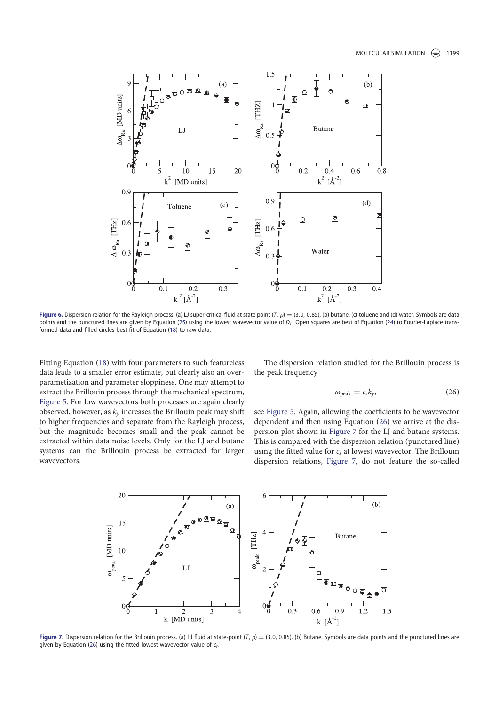

Figure 6. Dispersion relation for the Rayleigh process. (a) LJ super-critical fluid at state point (T,  $\rho$ ) = (3.0, 0.85), (b) butane, (c) toluene and (d) water. Symbols are data points and the punctured lines are given by Equation (25) using the lowest wavevector value of  $D<sub>T</sub>$ . Open squares are best of Equation (24) to Fourier-Laplace transformed data and filled circles best fit of Equation (18) to raw data.

Fitting Equation (18) with four parameters to such featureless data leads to a smaller error estimate, but clearly also an overparametization and parameter sloppiness. One may attempt to extract the Brillouin process through the mechanical spectrum, Figure 5. For low wavevectors both processes are again clearly observed, however, as  $k_v$  increases the Brillouin peak may shift to higher frequencies and separate from the Rayleigh process, but the magnitude becomes small and the peak cannot be extracted within data noise levels. Only for the LJ and butane systems can the Brillouin process be extracted for larger wavevectors.

The dispersion relation studied for the Brillouin process is the peak frequency

$$
\omega_{\text{peak}} = c_s k_y,\tag{26}
$$

see Figure 5. Again, allowing the coefficients to be wavevector dependent and then using Equation (26) we arrive at the dispersion plot shown in Figure 7 for the LJ and butane systems. This is compared with the dispersion relation (punctured line) using the fitted value for  $c_s$  at lowest wavevector. The Brillouin dispersion relations, Figure 7, do not feature the so-called



Figure 7. Dispersion relation for the Brillouin process. (a) LJ fluid at state-point (T,  $\rho$ ) = (3.0, 0.85). (b) Butane. Symbols are data points and the punctured lines are given by Equation (26) using the fitted lowest wavevector value of  $c_5$ .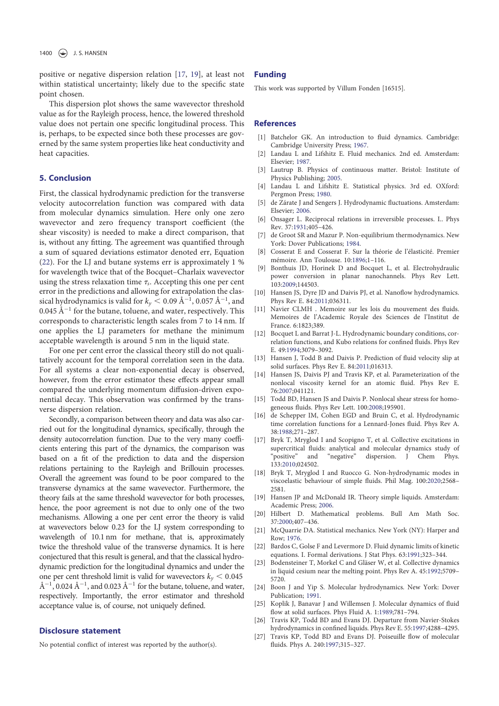positive or negative dispersion relation [17, 19], at least not within statistical uncertainty; likely due to the specific state point chosen.

This dispersion plot shows the same wavevector threshold value as for the Rayleigh process, hence, the lowered threshold value does not pertain one specific longitudinal process. This is, perhaps, to be expected since both these processes are governed by the same system properties like heat conductivity and heat capacities.

# 5. Conclusion

First, the classical hydrodynamic prediction for the transverse velocity autocorrelation function was compared with data from molecular dynamics simulation. Here only one zero wavevector and zero frequency transport coefficient (the shear viscosity) is needed to make a direct comparison, that is, without any fitting. The agreement was quantified through a sum of squared deviations estimator denoted err, Equation (22). For the LJ and butane systems err is approximately 1 % for wavelength twice that of the Bocquet–Charlaix wavevector using the stress relaxation time  $\tau_s$ . Accepting this one per cent error in the predictions and allowing for extrapolation the classical hydrodynamics is valid for  $k_y < 0.09 \text{ Å}^{-1}$ , 0.057 Å<sup>-1</sup>, and 0.045 Å<sup> $-1$ </sup> for the butane, toluene, and water, respectively. This corresponds to characteristic length scales from 7 to 14 nm. If one applies the LJ parameters for methane the minimum acceptable wavelength is around 5 nm in the liquid state.

For one per cent error the classical theory still do not qualitatively account for the temporal correlation seen in the data. For all systems a clear non-exponential decay is observed, however, from the error estimator these effects appear small compared the underlying momentum diffusion-driven exponential decay. This observation was confirmed by the transverse dispersion relation.

Secondly, a comparison between theory and data was also carried out for the longitudinal dynamics, specifically, through the density autocorrelation function. Due to the very many coefficients entering this part of the dynamics, the comparison was based on a fit of the prediction to data and the dispersion relations pertaining to the Rayleigh and Brillouin processes. Overall the agreement was found to be poor compared to the transverse dynamics at the same wavevector. Furthermore, the theory fails at the same threshold wavevector for both processes, hence, the poor agreement is not due to only one of the two mechanisms. Allowing a one per cent error the theory is valid at wavevectors below 0.23 for the LJ system corresponding to wavelength of 10.1 nm for methane, that is, approximately twice the threshold value of the transverse dynamics. It is here conjectured that this result is general, and that the classical hydrodynamic prediction for the longitudinal dynamics and under the one per cent threshold limit is valid for wavevectors  $k_v < 0.045$ Å<sup>-1</sup>, 0.024 Å<sup>-1</sup>, and 0.023 Å<sup>-1</sup> for the butane, toluene, and water, respectively. Importantly, the error estimator and threshold acceptance value is, of course, not uniquely defined.

# Disclosure statement

No potential conflict of interest was reported by the author(s).

#### Funding

This work was supported by Villum Fonden [16515].

## References

- [1] Batchelor GK. An introduction to fluid dynamics. Cambridge: Cambridge University Press; 1967.
- [2] Landau L and Lifshitz E. Fluid mechanics. 2nd ed. Amsterdam: Elsevier; 1987.
- [3] Lautrup B. Physics of continuous matter. Bristol: Institute of Physics Publishing; 2005.
- [4] Landau L and Lifshitz E. Statistical physics. 3rd ed. OXford: Pergmon Press; 1980.
- [5] de Zárate J and Sengers J. Hydrodynamic fluctuations. Amsterdam: Elsevier; 2006.
- [6] Onsager L. Reciprocal relations in irreversible processes. I.. Phys Rev. 37:1931;405–426.
- [7] de Groot SR and Mazur P. Non-equilibrium thermodynamics. New York: Dover Publications; 1984.
- [8] Cosserat E and Cosserat F. Sur la théorie de l'élasticité. Premier mémoire. Ann Toulouse. 10:1896;1–116.
- [9] Bonthuis JD, Horinek D and Bocquet L, et al. Electrohydraulic power conversion in planar nanochannels. Phys Rev Lett. 103:2009;144503.
- [10] Hansen JS, Dyre JD and Daivis PJ, et al. Nanoflow hydrodynamics. Phys Rev E. 84:2011;036311.
- [11] Navier CLMH . Memoire sur les lois du mouvement des fluids. Memoires de l'Academic Royale des Sciences de l'Institut de France. 6:1823;389.
- [12] Bocquet L and Barrat J-L. Hydrodynamic boundary conditions, correlation functions, and Kubo relations for confined fluids. Phys Rev E. 49:1994;3079–3092.
- [13] Hansen J, Todd B and Daivis P. Prediction of fluid velocity slip at solid surfaces. Phys Rev E. 84:2011;016313.
- [14] Hansen JS, Daivis PJ and Travis KP, et al. Parameterization of the nonlocal viscosity kernel for an atomic fluid. Phys Rev E. 76:2007;041121.
- [15] Todd BD, Hansen JS and Daivis P. Nonlocal shear stress for homogeneous fluids. Phys Rev Lett. 100:2008;195901.
- [16] de Schepper IM, Cohen EGD and Bruin C, et al. Hydrodynamic time correlation functions for a Lennard-Jones fluid. Phys Rev A. 38:1988;271–287.
- [17] Bryk T, Mryglod I and Scopigno T, et al. Collective excitations in supercritical fluids: analytical and molecular dynamics study of "positive" and "negative" dispersion. J Chem Phys. 133:2010;024502.
- [18] Bryk T, Mryglod I and Ruocco G. Non-hydrodynamic modes in viscoelastic behaviour of simple fluids. Phil Mag. 100:2020;2568– 2581.
- [19] Hansen JP and McDonald IR. Theory simple liquids. Amsterdam: Academic Press; 2006.
- [20] Hilbert D. Mathematical problems. Bull Am Math Soc. 37:2000;407–436.
- [21] McQuarrie DA. Statistical mechanics. New York (NY): Harper and Row; 1976.
- [22] Bardos C, Golse F and Levermore D. Fluid dynamic limits of kinetic equations. I. Formal derivations. J Stat Phys. 63:1991;323–344.
- [23] Bodensteiner T, Morkel C and Gläser W, et al. Collective dynamics in liquid cesium near the melting point. Phys Rev A. 45:1992;5709– 5720.
- [24] Boon J and Yip S. Molecular hydrodynamics. New York: Dover Publication; 1991.
- [25] Koplik J, Banavar J and Willemsen J. Molecular dynamics of fluid flow at solid surfaces. Phys Fluid A. 1:1989;781–794.
- [26] Travis KP, Todd BD and Evans DJ. Departure from Navier-Stokes hydrodynamics in confined liquids. Phys Rev E. 55:1997;4288–4295.
- [27] Travis KP, Todd BD and Evans DJ. Poiseuille flow of molecular fluids. Phys A. 240:1997;315–327.